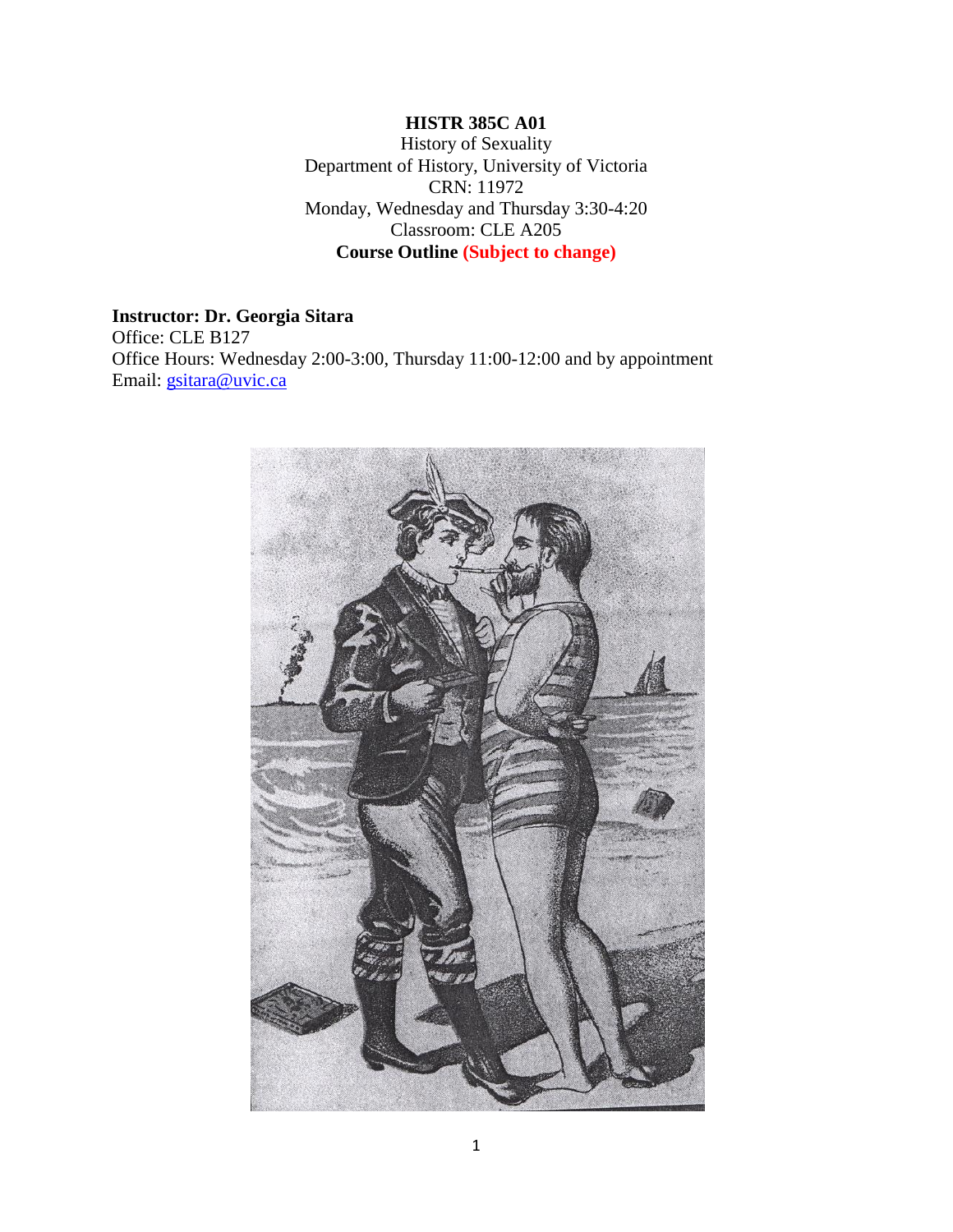## **HISTR 385C A01**

History of Sexuality Department of History, University of Victoria CRN: 11972 Monday, Wednesday and Thursday 3:30-4:20 Classroom: CLE A205 **Course Outline (Subject to change)**

#### **Instructor: Dr. Georgia Sitara**

Office: CLE B127 Office Hours: Wednesday 2:00-3:00, Thursday 11:00-12:00 and by appointment Email: [gsitara@uvic.ca](mailto:gsitara@uvic.ca)

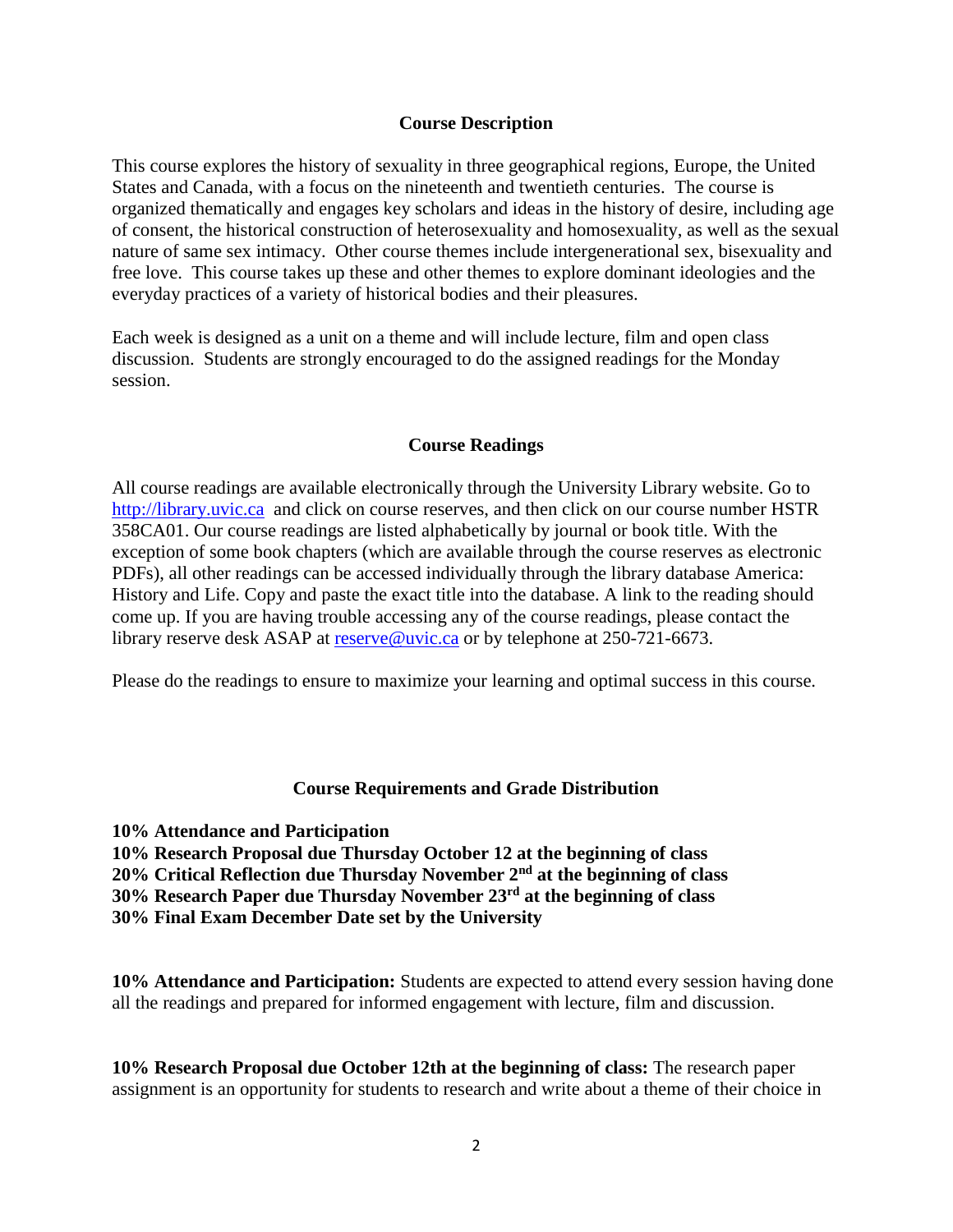#### **Course Description**

This course explores the history of sexuality in three geographical regions, Europe, the United States and Canada, with a focus on the nineteenth and twentieth centuries. The course is organized thematically and engages key scholars and ideas in the history of desire, including age of consent, the historical construction of heterosexuality and homosexuality, as well as the sexual nature of same sex intimacy. Other course themes include intergenerational sex, bisexuality and free love. This course takes up these and other themes to explore dominant ideologies and the everyday practices of a variety of historical bodies and their pleasures.

Each week is designed as a unit on a theme and will include lecture, film and open class discussion. Students are strongly encouraged to do the assigned readings for the Monday session.

#### **Course Readings**

All course readings are available electronically through the University Library website. Go to [http://library.uvic.ca](http://library.uvic.ca/) and click on course reserves, and then click on our course number HSTR 358CA01. Our course readings are listed alphabetically by journal or book title. With the exception of some book chapters (which are available through the course reserves as electronic PDFs), all other readings can be accessed individually through the library database America: History and Life. Copy and paste the exact title into the database. A link to the reading should come up. If you are having trouble accessing any of the course readings, please contact the library reserve desk ASAP at [reserve@uvic.ca](mailto:reserve@uvic.ca) or by telephone at 250-721-6673.

Please do the readings to ensure to maximize your learning and optimal success in this course.

#### **Course Requirements and Grade Distribution**

**10% Attendance and Participation**

**10% Research Proposal due Thursday October 12 at the beginning of class 20% Critical Reflection due Thursday November 2nd at the beginning of class**

- **30% Research Paper due Thursday November 23rd at the beginning of class**
- **30% Final Exam December Date set by the University**

**10% Attendance and Participation:** Students are expected to attend every session having done all the readings and prepared for informed engagement with lecture, film and discussion.

**10% Research Proposal due October 12th at the beginning of class:** The research paper assignment is an opportunity for students to research and write about a theme of their choice in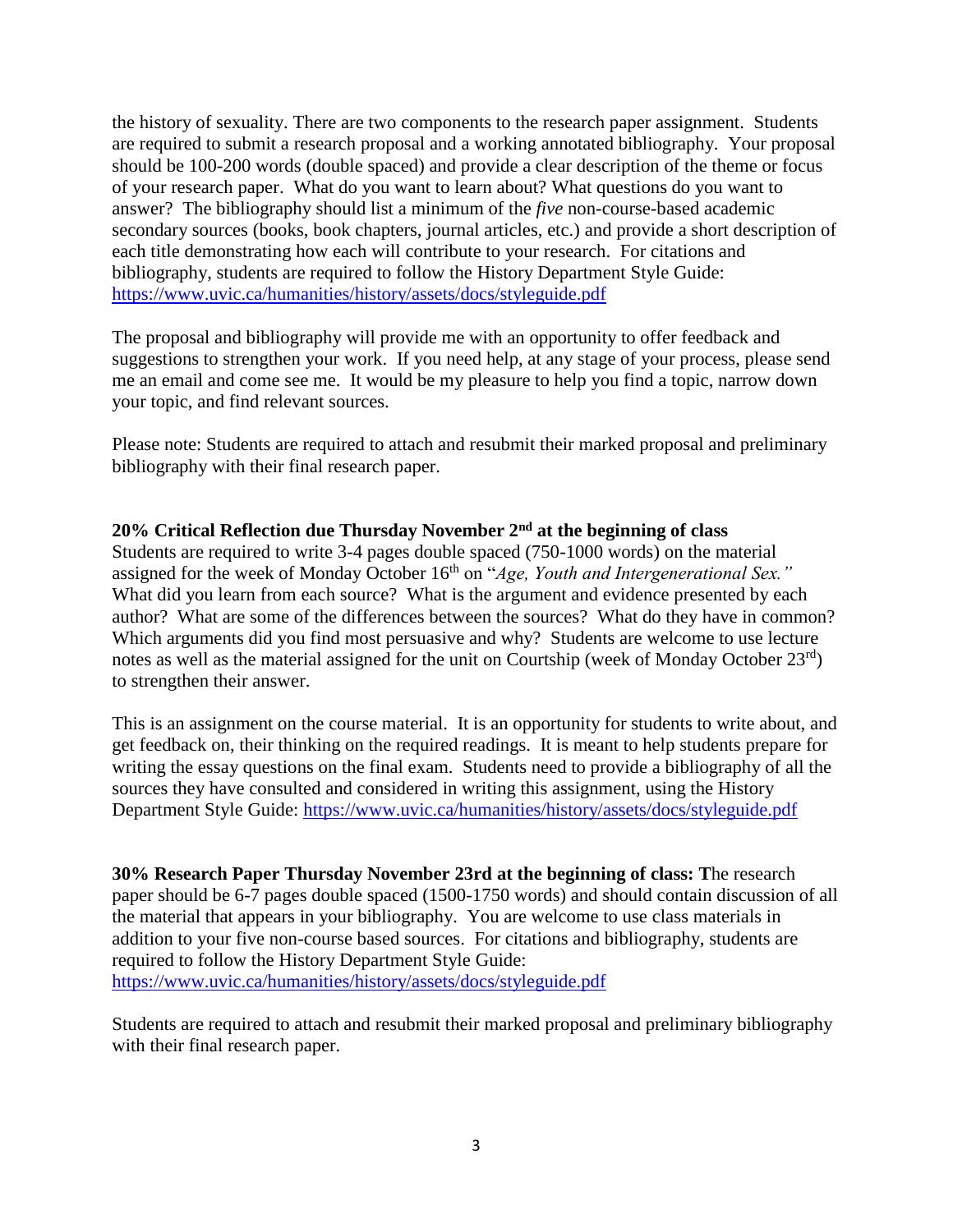the history of sexuality. There are two components to the research paper assignment. Students are required to submit a research proposal and a working annotated bibliography. Your proposal should be 100-200 words (double spaced) and provide a clear description of the theme or focus of your research paper. What do you want to learn about? What questions do you want to answer? The bibliography should list a minimum of the *five* non-course-based academic secondary sources (books, book chapters, journal articles, etc.) and provide a short description of each title demonstrating how each will contribute to your research. For citations and bibliography, students are required to follow the History Department Style Guide: <https://www.uvic.ca/humanities/history/assets/docs/styleguide.pdf>

The proposal and bibliography will provide me with an opportunity to offer feedback and suggestions to strengthen your work. If you need help, at any stage of your process, please send me an email and come see me. It would be my pleasure to help you find a topic, narrow down your topic, and find relevant sources.

Please note: Students are required to attach and resubmit their marked proposal and preliminary bibliography with their final research paper.

#### **20% Critical Reflection due Thursday November 2nd at the beginning of class** Students are required to write 3-4 pages double spaced (750-1000 words) on the material

assigned for the week of Monday October 16<sup>th</sup> on "*Age, Youth and Intergenerational Sex.*" What did you learn from each source? What is the argument and evidence presented by each author? What are some of the differences between the sources? What do they have in common? Which arguments did you find most persuasive and why? Students are welcome to use lecture notes as well as the material assigned for the unit on Courtship (week of Monday October  $23<sup>rd</sup>$ ) to strengthen their answer.

This is an assignment on the course material. It is an opportunity for students to write about, and get feedback on, their thinking on the required readings. It is meant to help students prepare for writing the essay questions on the final exam. Students need to provide a bibliography of all the sources they have consulted and considered in writing this assignment, using the History Department Style Guide:<https://www.uvic.ca/humanities/history/assets/docs/styleguide.pdf>

**30% Research Paper Thursday November 23rd at the beginning of class: T**he research paper should be 6-7 pages double spaced (1500-1750 words) and should contain discussion of all the material that appears in your bibliography. You are welcome to use class materials in addition to your five non-course based sources. For citations and bibliography, students are required to follow the History Department Style Guide: <https://www.uvic.ca/humanities/history/assets/docs/styleguide.pdf>

Students are required to attach and resubmit their marked proposal and preliminary bibliography with their final research paper.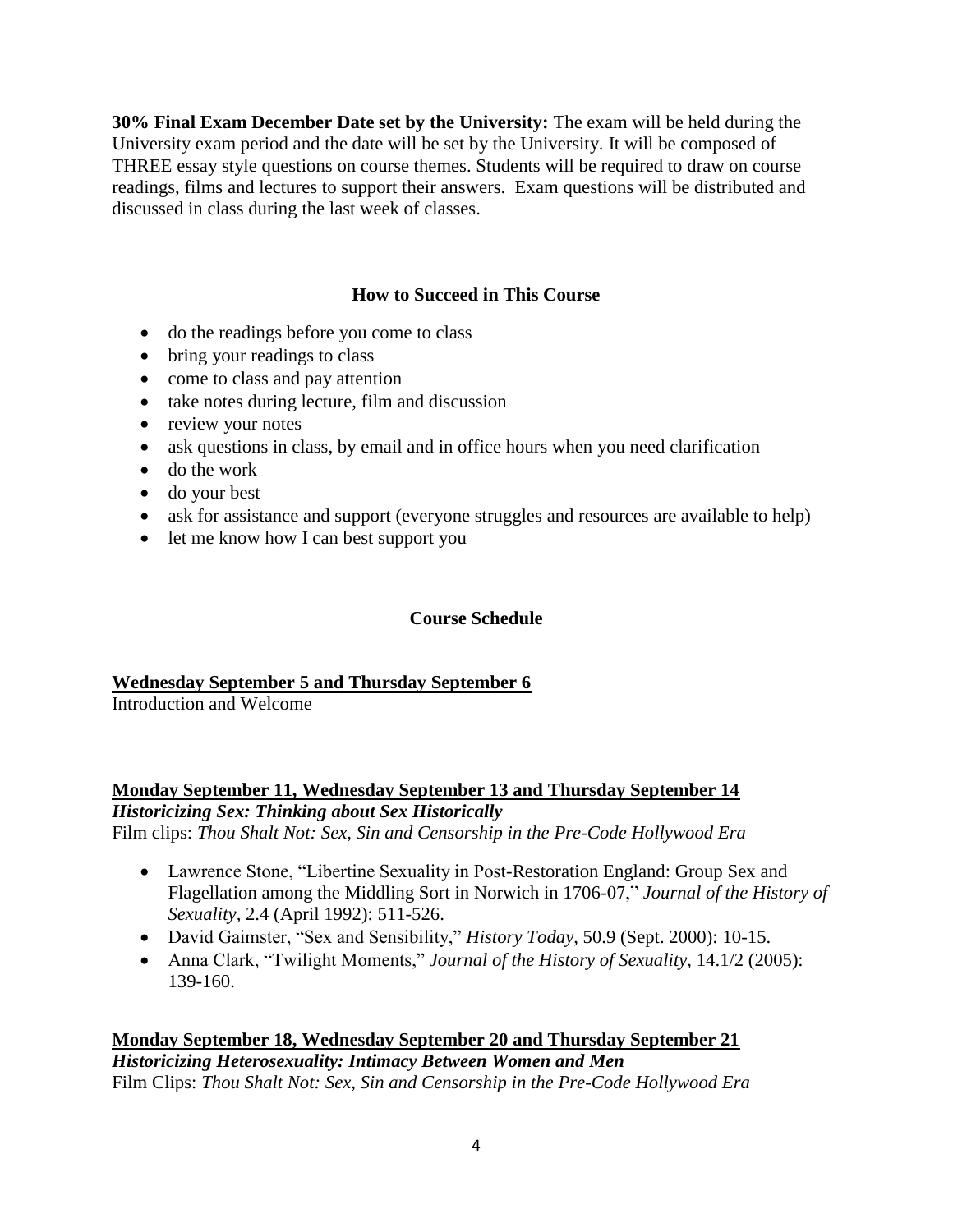**30% Final Exam December Date set by the University:** The exam will be held during the University exam period and the date will be set by the University. It will be composed of THREE essay style questions on course themes. Students will be required to draw on course readings, films and lectures to support their answers. Exam questions will be distributed and discussed in class during the last week of classes.

## **How to Succeed in This Course**

- do the readings before you come to class
- bring your readings to class
- come to class and pay attention
- take notes during lecture, film and discussion
- review your notes
- ask questions in class, by email and in office hours when you need clarification
- do the work
- do your best
- ask for assistance and support (everyone struggles and resources are available to help)
- let me know how I can best support you

## **Course Schedule**

## **Wednesday September 5 and Thursday September 6**

Introduction and Welcome

**Monday September 11, Wednesday September 13 and Thursday September 14** *Historicizing Sex: Thinking about Sex Historically*

Film clips: *Thou Shalt Not: Sex, Sin and Censorship in the Pre-Code Hollywood Era*

- Lawrence Stone, "Libertine Sexuality in Post-Restoration England: Group Sex and Flagellation among the Middling Sort in Norwich in 1706-07," *Journal of the History of Sexuality,* 2.4 (April 1992): 511-526.
- David Gaimster, "Sex and Sensibility," *History Today*, 50.9 (Sept. 2000): 10-15.
- Anna Clark, "Twilight Moments," *Journal of the History of Sexuality,* 14.1/2 (2005): 139-160.

#### **Monday September 18, Wednesday September 20 and Thursday September 21** *Historicizing Heterosexuality: Intimacy Between Women and Men* Film Clips: *Thou Shalt Not: Sex, Sin and Censorship in the Pre-Code Hollywood Era*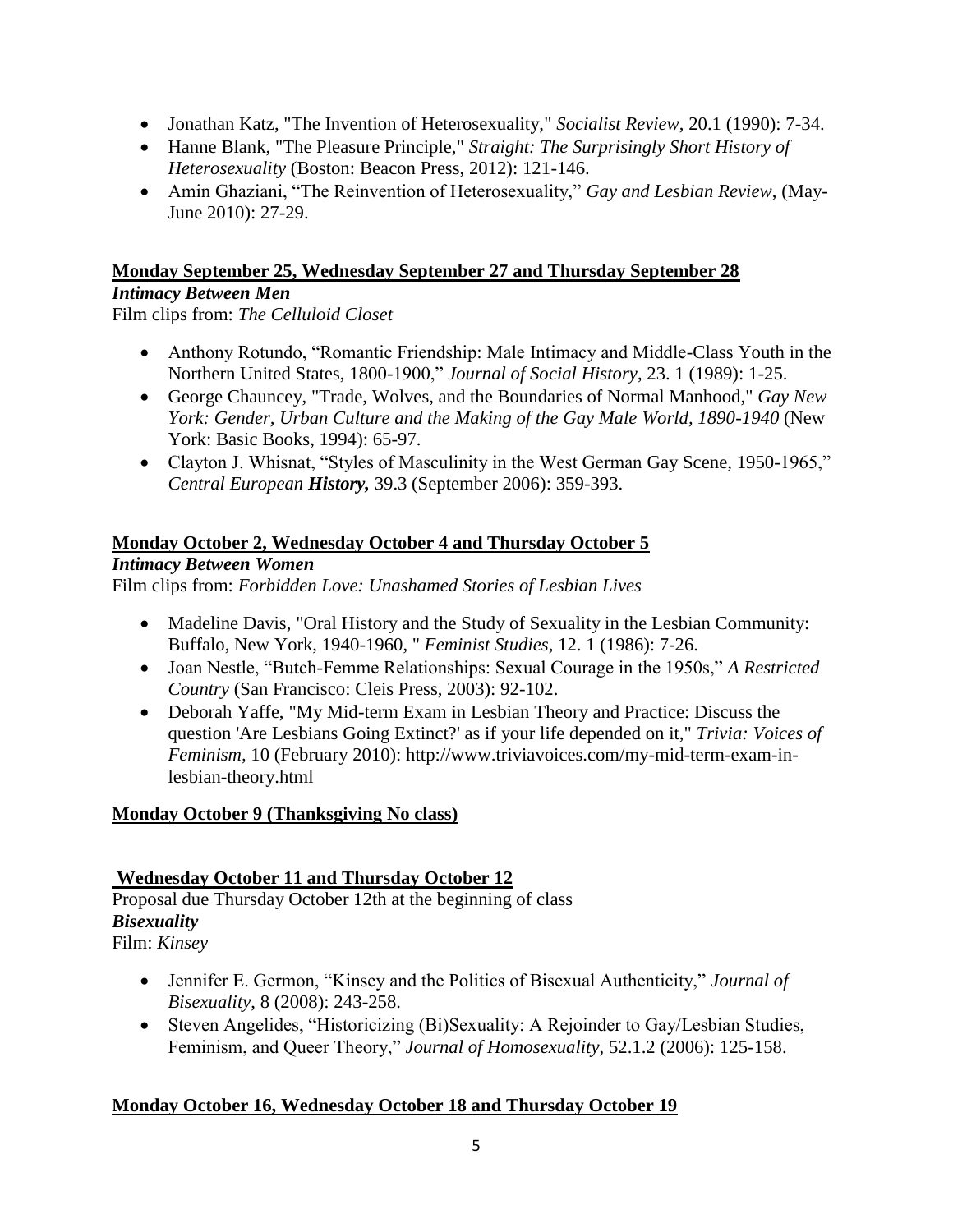- Jonathan Katz, "The Invention of Heterosexuality," *Socialist Review*, 20.1 (1990): 7-34.
- Hanne Blank, "The Pleasure Principle," *Straight: The Surprisingly Short History of Heterosexuality* (Boston: Beacon Press, 2012): 121-146.
- Amin Ghaziani, "The Reinvention of Heterosexuality," *Gay and Lesbian Review*, (May-June 2010): 27-29.

#### **Monday September 25, Wednesday September 27 and Thursday September 28** *Intimacy Between Men*

Film clips from: *The Celluloid Closet*

- Anthony Rotundo, "Romantic Friendship: Male Intimacy and Middle-Class Youth in the Northern United States, 1800-1900," *Journal of Social History*, 23. 1 (1989): 1-25.
- George Chauncey, "Trade, Wolves, and the Boundaries of Normal Manhood," *Gay New*  York: Gender, Urban Culture and the Making of the Gay Male World, 1890-1940 (New York: Basic Books, 1994): 65-97.
- Clayton J. Whisnat, "Styles of Masculinity in the West German Gay Scene, 1950-1965," *Central European History,* 39.3 (September 2006): 359-393.

## **Monday October 2, Wednesday October 4 and Thursday October 5**

#### *Intimacy Between Women*

Film clips from: *Forbidden Love: Unashamed Stories of Lesbian Lives*

- Madeline [Davis, "](http://uvic.summon.serialssolutions.com/search?s.dym=false&s.q=Author%3A%22Davis%2C+Madeline%22)[Oral History and the Study of Sexuality in the Lesbian Community:](http://uvic.summon.serialssolutions.com/link/0/eLvHCXMwY2BQSDEwSDNNTEwzTTVOTUtMM0xONUlKNks1TzICnQRinoi6dQx-P1FOumlWhnlBonEevljWHyrR7A_aYA8566MSvhoyGHZSdDD4QGVQQxu6nNEHNB-UCNroB94XUgI-78mpNC0tETIFg3wxj6ElaELWEnIQP_wqT8hhJCXoCxDhpxX4gs6dhE3Wp0D211kgDydAi0gTM11jM2ipAysijTCSAqS8M0dUI7Cpc7TaBb7mL9kEtFzVGHRJKajKNDQ2tYQVP7CK0xhyFDvMBRhLAYCVpCmsxR8iyMAPbbMrOEJCX4iBKTVPmIEffPenerECNCBEGIpBcaFgk2EHjQ4b_Qw7BWCUKAADHqyqUiE_DSQPjxWwisw8sAKgODRywKLwCLJSgEaPjgIwchRAkaOjAI8avswJd3yL03w4G12Ut3F4Lc8CAPSTAB8)  [Buffalo, New York, 1940-1960,](http://uvic.summon.serialssolutions.com/link/0/eLvHCXMwY2BQSDEwSDNNTEwzTTVOTUtMM0xONUlKNks1TzICnQRinoi6dQx-P1FOumlWhnlBonEevljWHyrR7A_aYA8566MSvhoyGHZSdDD4QGVQQxu6nNEHNB-UCNroB94XUgI-78mpNC0tETIFg3wxj6ElaELWEnIQP_wqT8hhJCXoCxDhpxX4gs6dhE3Wp0D211kgDydAi0gTM11jM2ipAysijTCSAqS8M0dUI7Cpc7TaBb7mL9kEtFzVGHRJKajKNDQ2tYQVP7CK0xhyFDvMBRhLAYCVpCmsxR8iyMAPbbMrOEJCX4iBKTVPmIEffPenerECNCBEGIpBcaFgk2EHjQ4b_Qw7BWCUKAADHqyqUiE_DSQPjxWwisw8sAKgODRywKLwCLJSgEaPjgIwchRAkaOjAI8avswJd3yL03w4G12Ut3F4Lc8CAPSTAB8) " *Feminist Studies,* 12. 1 (1986): 7-26.
- Joan Nestle, "Butch-Femme Relationships: Sexual Courage in the 1950s," *A Restricted Country* (San Francisco: Cleis Press, 2003): 92-102.
- Deborah Yaffe, "My Mid-term Exam in Lesbian Theory and Practice: Discuss the question 'Are Lesbians Going Extinct?' as if your life depended on it," *Trivia: Voices of Feminism,* 10 (February 2010): http://www.triviavoices.com/my-mid-term-exam-inlesbian-theory.html

## **Monday October 9 (Thanksgiving No class)**

## **Wednesday October 11 and Thursday October 12**

Proposal due Thursday October 12th at the beginning of class *Bisexuality* Film: *Kinsey*

- Jennifer E. Germon, "Kinsey and the Politics of Bisexual Authenticity," *Journal of Bisexuality*, 8 (2008): 243-258.
- Steven Angelides, "Historicizing (Bi)Sexuality: A Rejoinder to Gay/Lesbian Studies, Feminism, and Queer Theory," *Journal of Homosexuality*, 52.1.2 (2006): 125-158.

## **Monday October 16, Wednesday October 18 and Thursday October 19**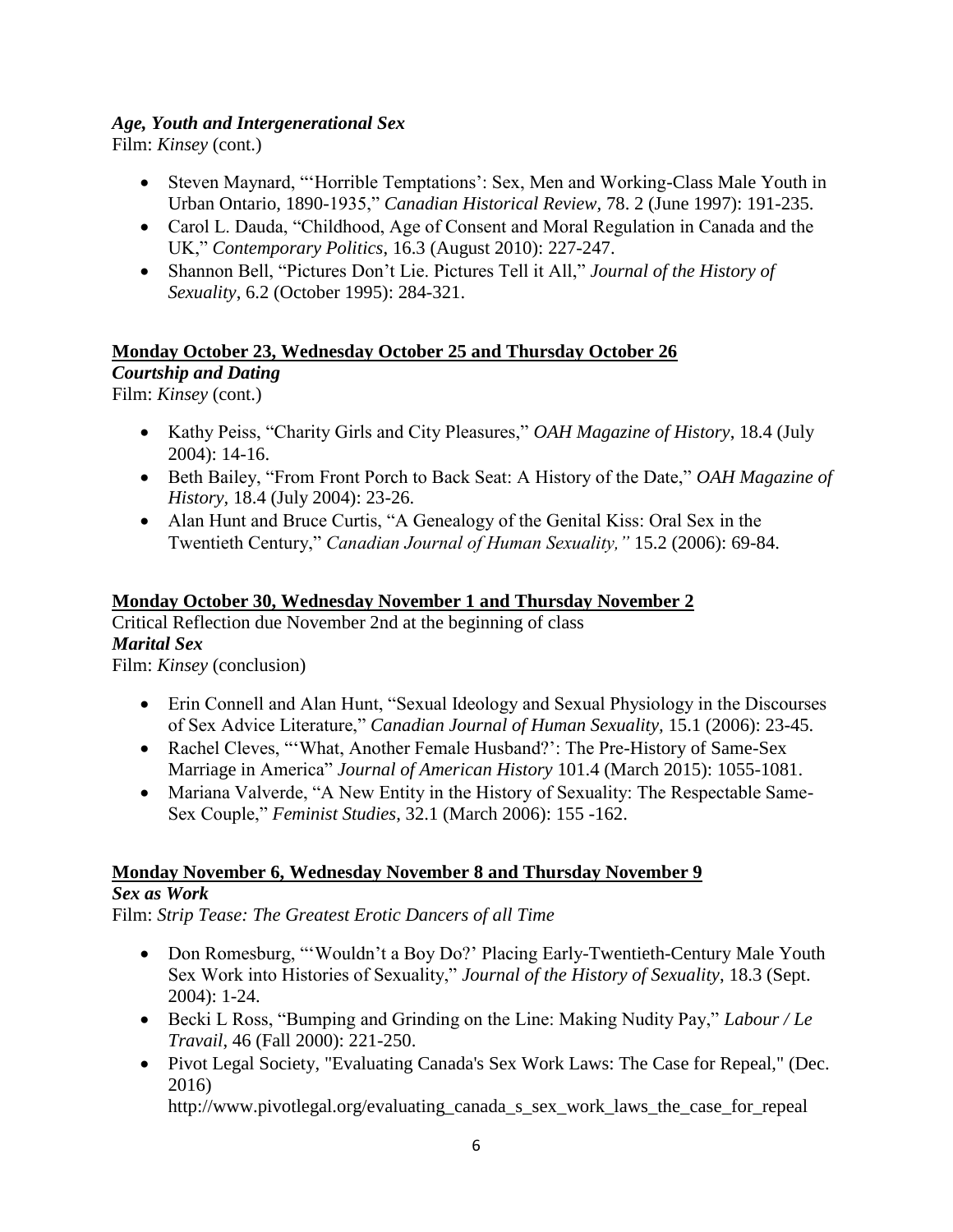#### *Age, Youth and Intergenerational Sex*

Film: *Kinsey* (cont.)

- Steven Maynard, "Horrible Temptations': Sex, Men and Working-Class Male Youth in Urban Ontario, 1890-1935," *Canadian Historical Review,* 78. 2 (June 1997): 191-235.
- Carol L. Dauda, "Childhood, Age of Consent and Moral Regulation in Canada and the UK," *Contemporary Politics*, 16.3 (August 2010): 227-247.
- Shannon Bell, "Pictures Don't Lie. Pictures Tell it All," *Journal of the History of Sexuality*, 6.2 (October 1995): 284-321.

#### **Monday October 23, Wednesday October 25 and Thursday October 26** *Courtship and Dating*

Film: *Kinsey* (cont.)

- Kathy Peiss, "Charity Girls and City Pleasures," *OAH Magazine of History*, 18.4 (July 2004): 14-16.
- Beth Bailey, "From Front Porch to Back Seat: A History of the Date," *OAH Magazine of History,* 18.4 (July 2004): 23-26.
- Alan Hunt and Bruce Curtis, "A Genealogy of the Genital Kiss: Oral Sex in the Twentieth Century," *Canadian Journal of Human Sexuality,"* 15.2 (2006): 69-84.

#### **Monday October 30, Wednesday November 1 and Thursday November 2**

Critical Reflection due November 2nd at the beginning of class *Marital Sex*

Film: *Kinsey* (conclusion)

- Erin Connell and Alan Hunt, "Sexual Ideology and Sexual Physiology in the Discourses of Sex Advice Literature," *Canadian Journal of Human Sexuality,* 15.1 (2006): 23-45.
- Rachel Cleves, "'What, Another Female Husband?': The Pre-History of Same-Sex Marriage in America" *Journal of American History* 101.4 (March 2015): 1055-1081.
- Mariana Valverde, "A New Entity in the History of Sexuality: The Respectable Same-Sex Couple," *Feminist Studies*, 32.1 (March 2006): 155 -162.

# **Monday November 6, Wednesday November 8 and Thursday November 9**

## *Sex as Work*

Film: *Strip Tease: The Greatest Erotic Dancers of all Time*

- Don Romesburg, "'Wouldn't a Boy Do?' Placing Early-Twentieth-Century Male Youth Sex Work into Histories of Sexuality," *Journal of the History of Sexuality*, 18.3 (Sept. 2004): 1-24.
- Becki L Ross, "Bumping and Grinding on the Line: Making Nudity Pay," *Labour / Le Travail*, 46 (Fall 2000): 221-250.
- Pivot Legal Society, "Evaluating Canada's Sex Work Laws: The Case for Repeal," (Dec. 2016)

http://www.pivotlegal.org/evaluating\_canada\_s\_sex\_work\_laws\_the\_case\_for\_repeal